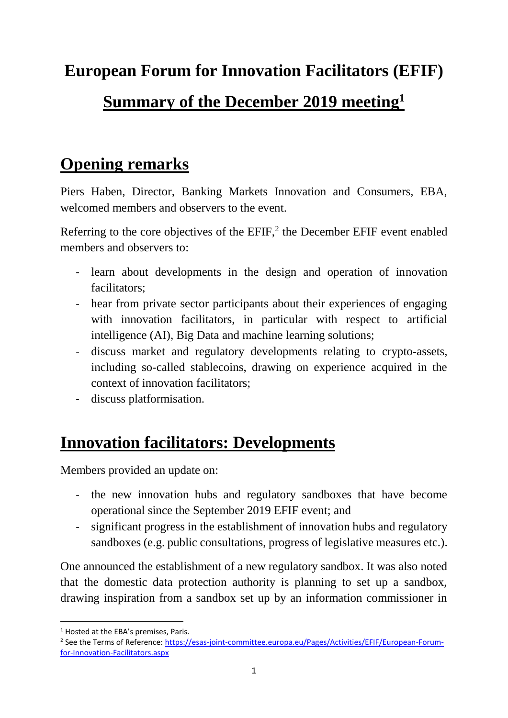#### **European Forum for Innovation Facilitators (EFIF)**

#### **Summary of the December 2019 meeting<sup>1</sup>**

### **Opening remarks**

Piers Haben, Director, Banking Markets Innovation and Consumers, EBA, welcomed members and observers to the event.

Referring to the core objectives of the  $EFIF$ ,<sup>2</sup> the December  $EFIF$  event enabled members and observers to:

- learn about developments in the design and operation of innovation facilitators;
- hear from private sector participants about their experiences of engaging with innovation facilitators, in particular with respect to artificial intelligence (AI), Big Data and machine learning solutions;
- discuss market and regulatory developments relating to crypto-assets, including so-called stablecoins, drawing on experience acquired in the context of innovation facilitators;
- discuss platformisation.

### **Innovation facilitators: Developments**

Members provided an update on:

- the new innovation hubs and regulatory sandboxes that have become operational since the September 2019 EFIF event; and
- significant progress in the establishment of innovation hubs and regulatory sandboxes (e.g. public consultations, progress of legislative measures etc.).

One announced the establishment of a new regulatory sandbox. It was also noted that the domestic data protection authority is planning to set up a sandbox, drawing inspiration from a sandbox set up by an information commissioner in

**.** 

<sup>&</sup>lt;sup>1</sup> Hosted at the EBA's premises. Paris.

<sup>&</sup>lt;sup>2</sup> See the Terms of Reference: [https://esas-joint-committee.europa.eu/Pages/Activities/EFIF/European-Forum](https://esas-joint-committee.europa.eu/Pages/Activities/EFIF/European-Forum-for-Innovation-Facilitators.aspx)[for-Innovation-Facilitators.aspx](https://esas-joint-committee.europa.eu/Pages/Activities/EFIF/European-Forum-for-Innovation-Facilitators.aspx)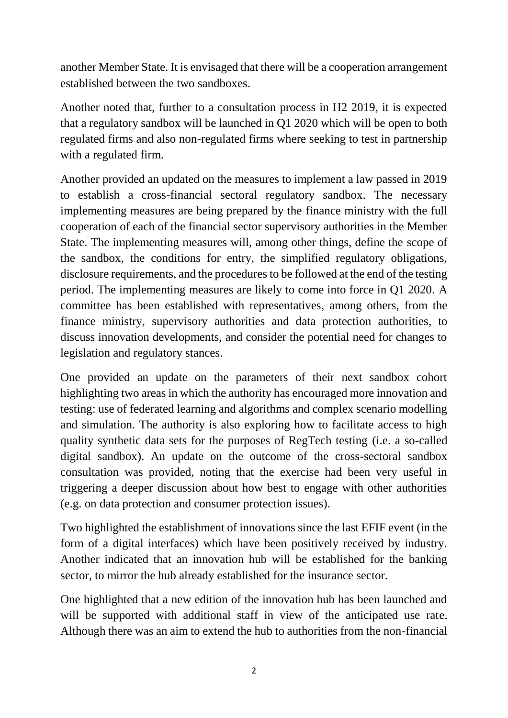another Member State. It is envisaged that there will be a cooperation arrangement established between the two sandboxes.

Another noted that, further to a consultation process in H2 2019, it is expected that a regulatory sandbox will be launched in Q1 2020 which will be open to both regulated firms and also non-regulated firms where seeking to test in partnership with a regulated firm.

Another provided an updated on the measures to implement a law passed in 2019 to establish a cross-financial sectoral regulatory sandbox. The necessary implementing measures are being prepared by the finance ministry with the full cooperation of each of the financial sector supervisory authorities in the Member State. The implementing measures will, among other things, define the scope of the sandbox, the conditions for entry, the simplified regulatory obligations, disclosure requirements, and the procedures to be followed at the end of the testing period. The implementing measures are likely to come into force in Q1 2020. A committee has been established with representatives, among others, from the finance ministry, supervisory authorities and data protection authorities, to discuss innovation developments, and consider the potential need for changes to legislation and regulatory stances.

One provided an update on the parameters of their next sandbox cohort highlighting two areas in which the authority has encouraged more innovation and testing: use of federated learning and algorithms and complex scenario modelling and simulation. The authority is also exploring how to facilitate access to high quality synthetic data sets for the purposes of RegTech testing (i.e. a so-called digital sandbox). An update on the outcome of the cross-sectoral sandbox consultation was provided, noting that the exercise had been very useful in triggering a deeper discussion about how best to engage with other authorities (e.g. on data protection and consumer protection issues).

Two highlighted the establishment of innovations since the last EFIF event (in the form of a digital interfaces) which have been positively received by industry. Another indicated that an innovation hub will be established for the banking sector, to mirror the hub already established for the insurance sector.

One highlighted that a new edition of the innovation hub has been launched and will be supported with additional staff in view of the anticipated use rate. Although there was an aim to extend the hub to authorities from the non-financial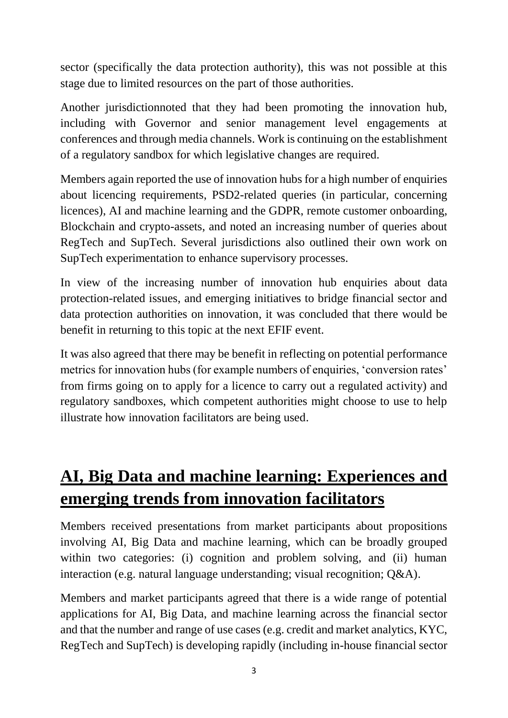sector (specifically the data protection authority), this was not possible at this stage due to limited resources on the part of those authorities.

Another jurisdictionnoted that they had been promoting the innovation hub, including with Governor and senior management level engagements at conferences and through media channels. Work is continuing on the establishment of a regulatory sandbox for which legislative changes are required.

Members again reported the use of innovation hubs for a high number of enquiries about licencing requirements, PSD2-related queries (in particular, concerning licences), AI and machine learning and the GDPR, remote customer onboarding, Blockchain and crypto-assets, and noted an increasing number of queries about RegTech and SupTech. Several jurisdictions also outlined their own work on SupTech experimentation to enhance supervisory processes.

In view of the increasing number of innovation hub enquiries about data protection-related issues, and emerging initiatives to bridge financial sector and data protection authorities on innovation, it was concluded that there would be benefit in returning to this topic at the next EFIF event.

It was also agreed that there may be benefit in reflecting on potential performance metrics for innovation hubs (for example numbers of enquiries, 'conversion rates' from firms going on to apply for a licence to carry out a regulated activity) and regulatory sandboxes, which competent authorities might choose to use to help illustrate how innovation facilitators are being used.

## **AI, Big Data and machine learning: Experiences and emerging trends from innovation facilitators**

Members received presentations from market participants about propositions involving AI, Big Data and machine learning, which can be broadly grouped within two categories: (i) cognition and problem solving, and (ii) human interaction (e.g. natural language understanding; visual recognition; Q&A).

Members and market participants agreed that there is a wide range of potential applications for AI, Big Data, and machine learning across the financial sector and that the number and range of use cases (e.g. credit and market analytics, KYC, RegTech and SupTech) is developing rapidly (including in-house financial sector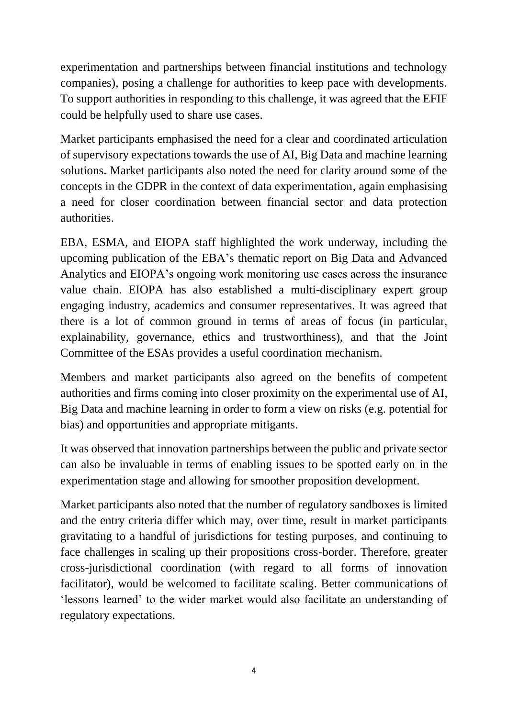experimentation and partnerships between financial institutions and technology companies), posing a challenge for authorities to keep pace with developments. To support authorities in responding to this challenge, it was agreed that the EFIF could be helpfully used to share use cases.

Market participants emphasised the need for a clear and coordinated articulation of supervisory expectations towards the use of AI, Big Data and machine learning solutions. Market participants also noted the need for clarity around some of the concepts in the GDPR in the context of data experimentation, again emphasising a need for closer coordination between financial sector and data protection authorities.

EBA, ESMA, and EIOPA staff highlighted the work underway, including the upcoming publication of the EBA's thematic report on Big Data and Advanced Analytics and EIOPA's ongoing work monitoring use cases across the insurance value chain. EIOPA has also established a multi-disciplinary expert group engaging industry, academics and consumer representatives. It was agreed that there is a lot of common ground in terms of areas of focus (in particular, explainability, governance, ethics and trustworthiness), and that the Joint Committee of the ESAs provides a useful coordination mechanism.

Members and market participants also agreed on the benefits of competent authorities and firms coming into closer proximity on the experimental use of AI, Big Data and machine learning in order to form a view on risks (e.g. potential for bias) and opportunities and appropriate mitigants.

It was observed that innovation partnerships between the public and private sector can also be invaluable in terms of enabling issues to be spotted early on in the experimentation stage and allowing for smoother proposition development.

Market participants also noted that the number of regulatory sandboxes is limited and the entry criteria differ which may, over time, result in market participants gravitating to a handful of jurisdictions for testing purposes, and continuing to face challenges in scaling up their propositions cross-border. Therefore, greater cross-jurisdictional coordination (with regard to all forms of innovation facilitator), would be welcomed to facilitate scaling. Better communications of 'lessons learned' to the wider market would also facilitate an understanding of regulatory expectations.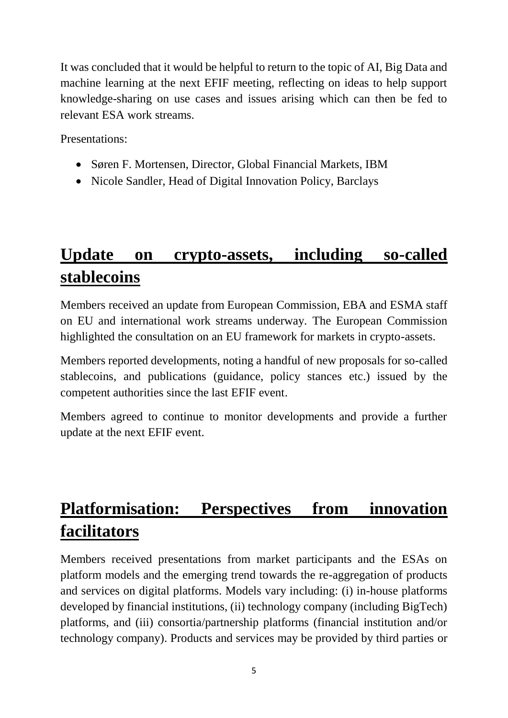It was concluded that it would be helpful to return to the topic of AI, Big Data and machine learning at the next EFIF meeting, reflecting on ideas to help support knowledge-sharing on use cases and issues arising which can then be fed to relevant ESA work streams.

Presentations:

- Søren F. Mortensen, Director, Global Financial Markets, IBM
- Nicole Sandler, Head of Digital Innovation Policy, Barclays

### **Update on crypto-assets, including so-called stablecoins**

Members received an update from European Commission, EBA and ESMA staff on EU and international work streams underway. The European Commission highlighted the consultation on an EU framework for markets in crypto-assets.

Members reported developments, noting a handful of new proposals for so-called stablecoins, and publications (guidance, policy stances etc.) issued by the competent authorities since the last EFIF event.

Members agreed to continue to monitor developments and provide a further update at the next EFIF event.

# **Platformisation: Perspectives from innovation facilitators**

Members received presentations from market participants and the ESAs on platform models and the emerging trend towards the re-aggregation of products and services on digital platforms. Models vary including: (i) in-house platforms developed by financial institutions, (ii) technology company (including BigTech) platforms, and (iii) consortia/partnership platforms (financial institution and/or technology company). Products and services may be provided by third parties or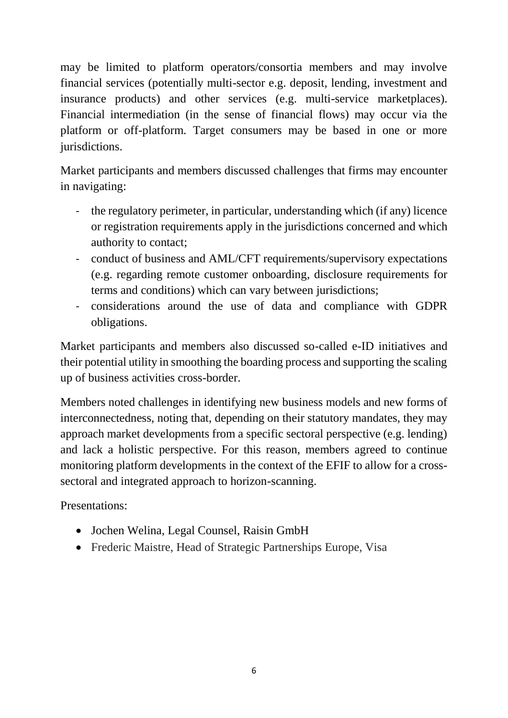may be limited to platform operators/consortia members and may involve financial services (potentially multi-sector e.g. deposit, lending, investment and insurance products) and other services (e.g. multi-service marketplaces). Financial intermediation (in the sense of financial flows) may occur via the platform or off-platform. Target consumers may be based in one or more jurisdictions.

Market participants and members discussed challenges that firms may encounter in navigating:

- the regulatory perimeter, in particular, understanding which (if any) licence or registration requirements apply in the jurisdictions concerned and which authority to contact;
- conduct of business and AML/CFT requirements/supervisory expectations (e.g. regarding remote customer onboarding, disclosure requirements for terms and conditions) which can vary between jurisdictions;
- considerations around the use of data and compliance with GDPR obligations.

Market participants and members also discussed so-called e-ID initiatives and their potential utility in smoothing the boarding process and supporting the scaling up of business activities cross-border.

Members noted challenges in identifying new business models and new forms of interconnectedness, noting that, depending on their statutory mandates, they may approach market developments from a specific sectoral perspective (e.g. lending) and lack a holistic perspective. For this reason, members agreed to continue monitoring platform developments in the context of the EFIF to allow for a crosssectoral and integrated approach to horizon-scanning.

Presentations:

- Jochen Welina, Legal Counsel, Raisin GmbH
- Frederic Maistre, Head of Strategic Partnerships Europe, Visa